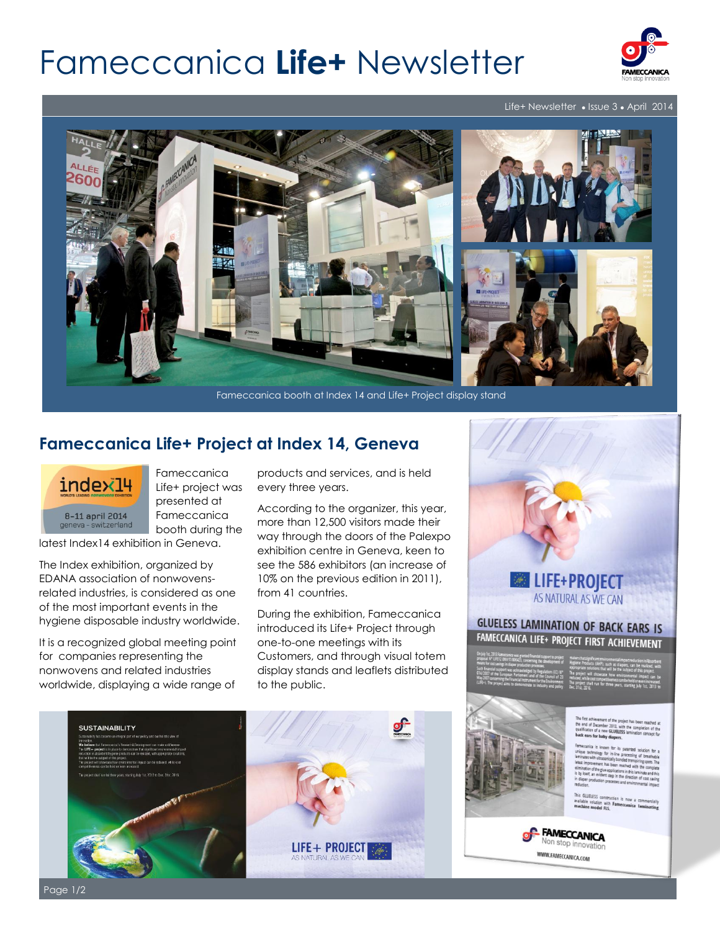# Fameccanica **Life+** Newsletter



#### Life+ Newsletter • Issue 3 • April 2014



### **Fameccanica Life+ Project at Index 14, Geneva**



Fameccanica Life+ project was presented at Fameccanica booth during the

latest Index14 exhibition in Geneva.

The Index exhibition, organized by EDANA association of nonwovensrelated industries, is considered as one of the most important events in the hygiene disposable industry worldwide.

It is a recognized global meeting point for companies representing the nonwovens and related industries worldwide, displaying a wide range of products and services, and is held every three years.

According to the organizer, this year, more than 12,500 visitors made their way through the doors of the Palexpo exhibition centre in Geneva, keen to see the 586 exhibitors (an increase of 10% on the previous edition in 2011), from 41 countries.

During the exhibition, Fameccanica introduced its Life+ Project through one-to-one meetings with its Customers, and through visual totem display stands and leaflets distributed to the public.





# FAMECCANICA LIFE+ PROJECT FIRST ACHIEVEMENT

Mar. Thomas For saby diapers.

Desk Officer of the Europe and the European Contract of the European Contract of the European Contract of the European Contract of the European Contract of the European Contract of the European Contract of the European Con Line Committee, latest improvement has been reached with the committee and Alessandro and Alessandro and Alessandro and Alessandro and Alessandro and Alessandro and Alessandro and Alessandro and Alessandro and Alessandro and Alessandro and Alessandro and Alessandro and Alessandro and Alessand D'Andrea, during the second the second the second the second the second the second terms of the second terms of the second terms of the second terms of the second terms of the second terms of the second terms of the second

**This GLUELESS construction ceremony of the CLUELESS construction** 



WWW.FAMECCANICA.COM

Page 1/2